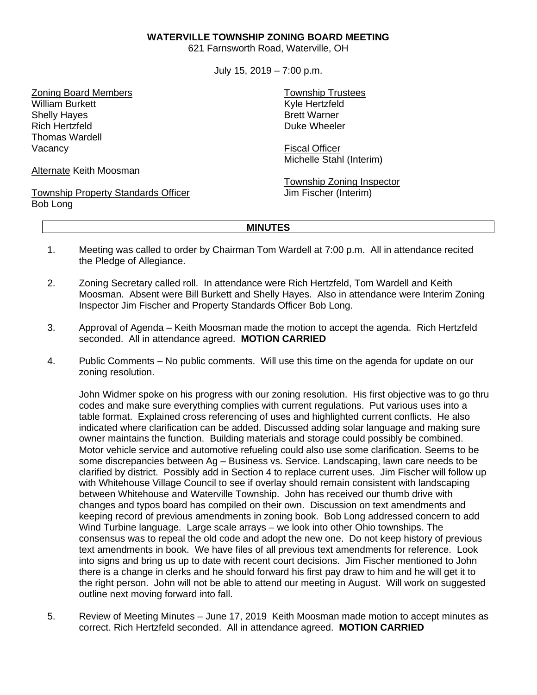## **WATERVILLE TOWNSHIP ZONING BOARD MEETING**

621 Farnsworth Road, Waterville, OH

July 15, 2019 – 7:00 p.m.

Zoning Board Members William Burkett Shelly Hayes Rich Hertzfeld Thomas Wardell Vacancy

Alternate Keith Moosman

Township Property Standards Officer Bob Long

Township Trustees Kyle Hertzfeld Brett Warner Duke Wheeler

Fiscal Officer Michelle Stahl (Interim)

Township Zoning Inspector Jim Fischer (Interim)

## **MINUTES**

- 1. Meeting was called to order by Chairman Tom Wardell at 7:00 p.m. All in attendance recited the Pledge of Allegiance.
- 2. Zoning Secretary called roll. In attendance were Rich Hertzfeld, Tom Wardell and Keith Moosman. Absent were Bill Burkett and Shelly Hayes. Also in attendance were Interim Zoning Inspector Jim Fischer and Property Standards Officer Bob Long.
- 3. Approval of Agenda Keith Moosman made the motion to accept the agenda. Rich Hertzfeld seconded. All in attendance agreed. **MOTION CARRIED**
- 4. Public Comments No public comments. Will use this time on the agenda for update on our zoning resolution.

John Widmer spoke on his progress with our zoning resolution. His first objective was to go thru codes and make sure everything complies with current regulations. Put various uses into a table format. Explained cross referencing of uses and highlighted current conflicts. He also indicated where clarification can be added. Discussed adding solar language and making sure owner maintains the function. Building materials and storage could possibly be combined. Motor vehicle service and automotive refueling could also use some clarification. Seems to be some discrepancies between Ag – Business vs. Service. Landscaping, lawn care needs to be clarified by district. Possibly add in Section 4 to replace current uses. Jim Fischer will follow up with Whitehouse Village Council to see if overlay should remain consistent with landscaping between Whitehouse and Waterville Township. John has received our thumb drive with changes and typos board has compiled on their own. Discussion on text amendments and keeping record of previous amendments in zoning book. Bob Long addressed concern to add Wind Turbine language. Large scale arrays – we look into other Ohio townships. The consensus was to repeal the old code and adopt the new one. Do not keep history of previous text amendments in book. We have files of all previous text amendments for reference. Look into signs and bring us up to date with recent court decisions. Jim Fischer mentioned to John there is a change in clerks and he should forward his first pay draw to him and he will get it to the right person. John will not be able to attend our meeting in August. Will work on suggested outline next moving forward into fall.

5. Review of Meeting Minutes – June 17, 2019 Keith Moosman made motion to accept minutes as correct. Rich Hertzfeld seconded. All in attendance agreed. **MOTION CARRIED**